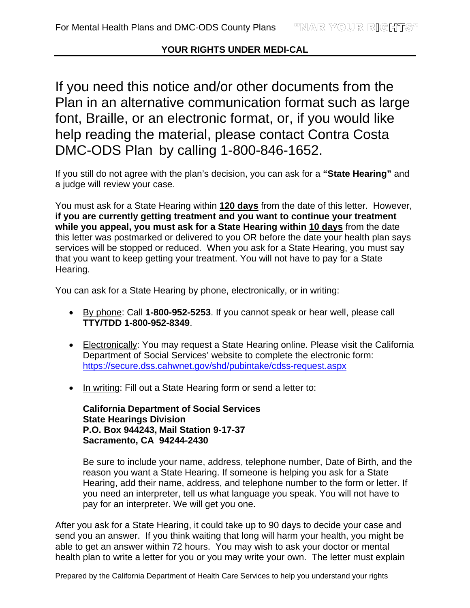## **YOUR RIGHTS UNDER MEDI-CAL**

If you need this notice and/or other documents from the Plan in an alternative communication format such as large font, Braille, or an electronic format, or, if you would like help reading the material, please contact Contra Costa DMC-ODS Plan by calling 1-800-846-1652.

If you still do not agree with the plan's decision, you can ask for a **"State Hearing"** and a judge will review your case.

You must ask for a State Hearing within **120 days** from the date of this letter. However, **if you are currently getting treatment and you want to continue your treatment while you appeal, you must ask for a State Hearing within 10 days** from the date this letter was postmarked or delivered to you OR before the date your health plan says services will be stopped or reduced.When you ask for a State Hearing, you must say that you want to keep getting your treatment. You will not have to pay for a State Hearing.

You can ask for a State Hearing by phone, electronically, or in writing:

- By phone: Call **1-800-952-5253**. If you cannot speak or hear well, please call **TTY/TDD 1-800-952-8349**.
- Electronically: You may request a State Hearing online. Please visit the California Department of Social Services' website to complete the electronic form: https://secure.dss.cahwnet.gov/shd/pubintake/cdss-request.aspx
- In writing: Fill out a State Hearing form or send a letter to:

**California Department of Social Services State Hearings Division P.O. Box 944243, Mail Station 9-17-37 Sacramento, CA 94244-2430** 

Be sure to include your name, address, telephone number, Date of Birth, and the reason you want a State Hearing. If someone is helping you ask for a State Hearing, add their name, address, and telephone number to the form or letter. If you need an interpreter, tell us what language you speak. You will not have to pay for an interpreter. We will get you one.

After you ask for a State Hearing, it could take up to 90 days to decide your case and send you an answer. If you think waiting that long will harm your health, you might be able to get an answer within 72 hours. You may wish to ask your doctor or mental health plan to write a letter for you or you may write your own. The letter must explain

Prepared by the California Department of Health Care Services to help you understand your rights